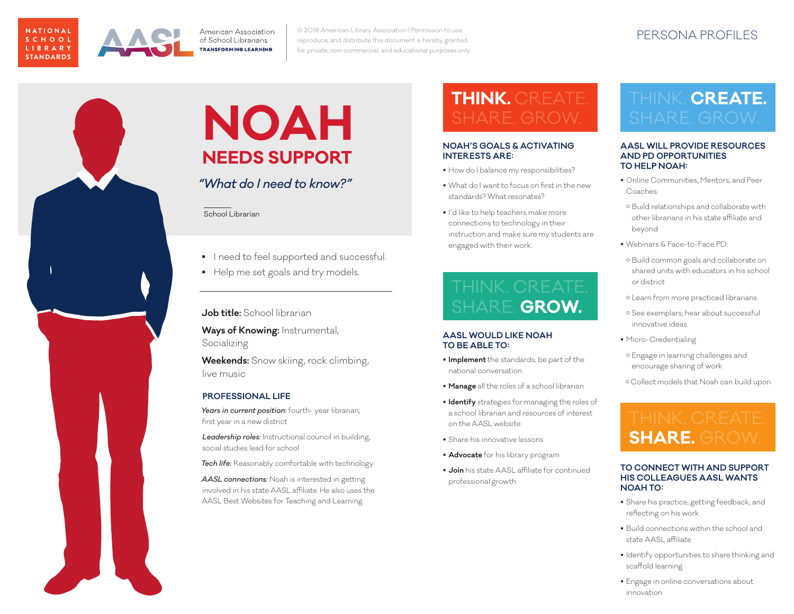



PERSONA PROFILES © 2018 American Library Association | Permission to use, reproduce, and distribute this document is hereby granted for private, non-commercial, and educational purposes only.



### **NOAH NEEDS SUPPORT**

*"What do I need to know?"*

School Librarian

- **I** need to feel supported and successful.
- Help me set goals and try models.

**Job title:** School librarian

**Ways of Knowing:** Instrumental, Socializing

**Weekends:** Snow skiing, rock climbing, live music

### **PROFESSIONAL LIFE**

Years in current position: fourth- year librarian; first year in a new district

*Leadership roles:* Instructional council in building, social studies lead for school

*Tech life:* Reasonably comfortable with technology

*AASL connections:* Noah is interested in getting involved in his state AASL affiliate. He also uses the AASL Best Websites for Teaching and Learning.

## **THINK.** CREATE.

#### **NOAH'S GOALS & ACTIVATING INTERESTS ARE:**

- How do I balance my responsibilities?
- What do I want to focus on first in the new standards? What resonates?
- I'd like to help teachers make more connections to technology in their instruction and make sure my students are engaged with their work.

SHARE. **GROW.**

#### **AASL WOULD LIKE NOAH TO BE ABLE TO:**

- **Implement** the standards; be part of the national conversation
- **Manage** all the roles of a school librarian
- **Identify** strategies for managing the roles of a school librarian and resources of interest on the AASL website
- Share his innovative lessons
- **Advocate** for his library program
- **Join** his state AASL affiliate for continued professional growth

## THINK. **CREATE.**

#### **AASL WILL PROVIDE RESOURCES AND PD OPPORTUNITIES TO HELP NOAH:**

- Online Communities, Mentors, and Peer Coaches:
- o Build relationships and collaborate with other librarians in his state affiliate and beyond
- Webinars & Face-to-Face PD:
- { Build common goals and collaborate on shared units with educators in his school or district
- { Learn from more practiced librarians
- { See exemplars; hear about successful innovative ideas
- **Micro-Credentialing**
- { Engage in learning challenges and encourage sharing of work
- { Collect models that Noah can build upon

### **SHARE.** GROW.

#### **TO CONNECT WITH AND SUPPORT HIS COLLEAGUES AASL WANTS NOAH TO:**

- Share his practice, getting feedback, and reflecting on his work
- Build connections within the school and state AASL affiliate
- **I** Identify opportunities to share thinking and scaffold learning
- **Engage in online conversations about** innovation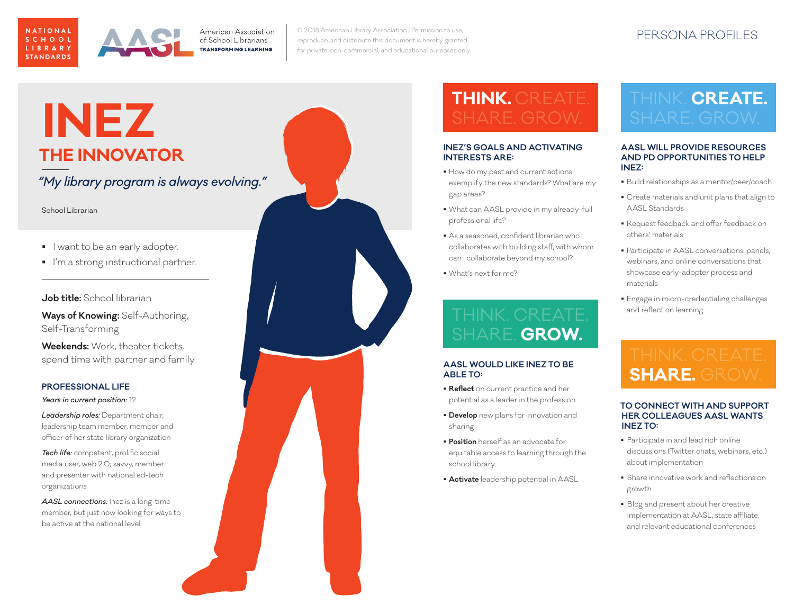

PERSONA PROFILES © 2018 American Library Association | Permission to use, reproduce, and distribute this document is hereby granted for private, non-commercial, and educational purposes only.

### **INEZ THE INNOVATOR**

*"My library program is always evolving."*

School Librarian

- I want to be an early adopter.
- I'm a strong instructional partner.

### **Job title:** School librarian

**Ways of Knowing:** Self-Authoring, Self-Transforming

**Weekends:** Work, theater tickets, spend time with partner and family

#### **PROFESSIONAL LIFE**

*Years in current position:* 12

*Leadership roles:* Department chair, leadership team member, member and officer of her state library organization

*Tech life:* competent, prolific social media user, web 2.0; savvy, member and presenter with national ed-tech organizations

*AASL connections:* Inez is a long-time member, but just now looking for ways to be active at the national level.

### **INEZ'S GOALS AND ACTIVATING INTERESTS ARE:**  $\blacksquare$  How do my past and current actions exemplify the new standards? What are my gap areas? What can AASL provide in my already-full professional life? As a seasoned, confident librarian who collaborates with building staff, with whom can I collaborate beyond my school? What's next for me? **AASL WOULD LIKE INEZ TO BE ABLE TO:** SHARE. **GROW.**

 **Reflect** on current practice and her potential as a leader in the profession

**THINK.** CREATE.

- **Develop** new plans for innovation and sharing
- **Position** herself as an advocate for equitable access to learning through the school library
- **Activate** leadership potential in AASL

# THINK. **CREATE.**

#### **AASL WILL PROVIDE RESOURCES AND PD OPPORTUNITIES TO HELP INEZ:**

- Build relationships as a mentor/peer/coach
- Create materials and unit plans that align to AASL Standards
- Request feedback and offer feedback on others' materials
- **Participate in AASL conversations, panels,** webinars, and online conversations that showcase early-adopter process and materials
- Engage in micro-credentialing challenges and reflect on learning

## **SHARE.** GROW.

#### **TO CONNECT WITH AND SUPPORT HER COLLEAGUES AASL WANTS INEZ TO:**

- Participate in and lead rich online discussions (Twitter chats, webinars, etc.) about implementation
- Share innovative work and reflections on growth
- **Blog and present about her creative** implementation at AASL, state affiliate, and relevant educational conferences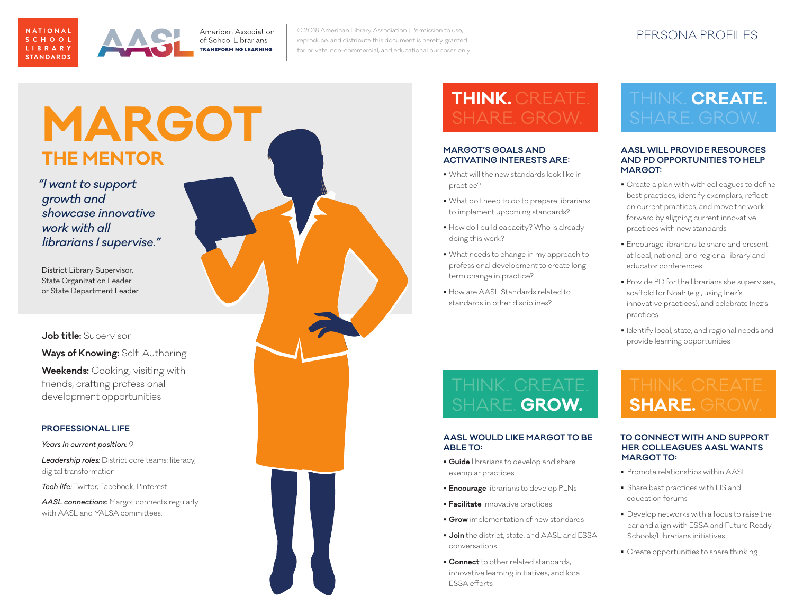

PERSONA PROFILES © 2018 American Library Association | Permission to use, reproduce, and distribute this document is hereby granted for private, non-commercial, and educational purposes only.

### **MARGOT THE MENTOR**

*"I want to support growth and showcase innovative work with all librarians I supervise."*

District Library Supervisor, State Organization Leader or State Department Leader

**Job title:** Supervisor

**Ways of Knowing:** Self-Authoring

**Weekends:** Cooking, visiting with friends, crafting professional development opportunities

### **PROFESSIONAL LIFE**

*Years in current position:*  9

*Leadership roles:* District core teams: literacy, digital transformation

*Tech life:* Twitter, Facebook, Pinterest

*AASL connections:* Margot connects regularly with AASL and YALSA committees.



## **THINK.** CREATE.

#### **MARGOT'S GOALS AND ACTIVATING INTERESTS ARE:**

- What will the new standards look like in practice?
- What do I need to do to prepare librarians to implement upcoming standards?
- How do I build capacity? Who is already doing this work?
- What needs to change in my approach to professional development to create longterm change in practice?
- How are AASL Standards related to standards in other disciplines?

# THINK. **CREATE.**

#### **AASL WILL PROVIDE RESOURCES AND PD OPPORTUNITIES TO HELP MARGOT:**

- Create a plan with with colleagues to define best practices, identify exemplars, reflect on current practices, and move the work forward by aligning current innovative practices with new standards
- Encourage librarians to share and present at local, national, and regional library and educator conferences
- **Provide PD for the librarians she supervises,** scaffold for Noah (e.g., using Inez's innovative practices), and celebrate Inez's practices
- Identify local, state, and regional needs and provide learning opportunities

### THINK. CREATE. SHARE. **GROW.**

### **AASL WOULD LIKE MARGOT TO BE ABLE TO:**

- **Guide** librarians to develop and share exemplar practices
- **Encourage** librarians to develop PLNs
- **Facilitate** innovative practices
- **Grow** implementation of new standards
- **Join** the district, state, and AASL and ESSA conversations
- **Connect** to other related standards, innovative learning initiatives, and local ESSA efforts

### **SHARE.** GROW.

#### **TO CONNECT WITH AND SUPPORT HER COLLEAGUES AASL WANTS MARGOT TO:**

- Promote relationships within AASL
- Share best practices with LIS and education forums
- **Develop networks with a focus to raise the** bar and align with ESSA and Future Ready Schools/Librarians initiatives
- Create opportunities to share thinking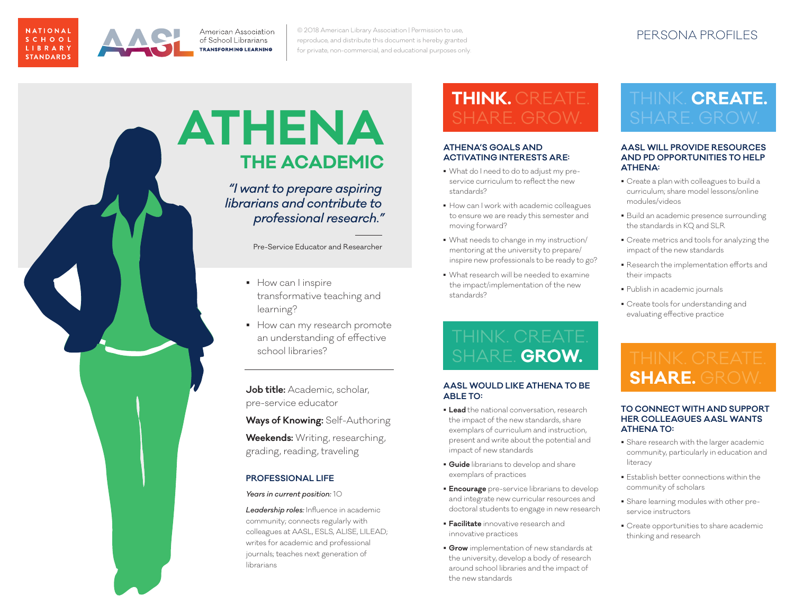

PERSONA PROFILES © 2018 American Library Association | Permission to use, reproduce, and distribute this document is hereby granted for private, non-commercial, and educational purposes only.

### **ATHENA THE ACADEMIC**

*"I want to prepare aspiring librarians and contribute to professional research."*

Pre-Service Educator and Researcher

- How can I inspire transformative teaching and learning?
- How can my research promote an understanding of effective school libraries?

**Job title:** Academic, scholar, pre-service educator

**Ways of Knowing:** Self-Authoring

**Weekends:** Writing, researching, grading, reading, traveling

### **PROFESSIONAL LIFE**

#### *Years in current position:* 10

*Leadership roles:* Influence in academic community; connects regularly with colleagues at AASL, ESLS, ALISE, LILEAD; writes for academic and professional journals; teaches next generation of librarians

## **THINK.** CREATE.

#### **ATHENA'S GOALS AND ACTIVATING INTERESTS ARE:**

- What do I need to do to adjust my preservice curriculum to reflect the new standards?
- How can I work with academic colleagues to ensure we are ready this semester and moving forward?
- What needs to change in my instruction/ mentoring at the university to prepare/ inspire new professionals to be ready to go?
- What research will be needed to examine the impact/implementation of the new standards?

## SHARE. **GROW.**

### **AASL WOULD LIKE ATHENA TO BE ABLE TO:**

- **Lead** the national conversation, research the impact of the new standards, share exemplars of curriculum and instruction, present and write about the potential and impact of new standards
- **Guide** librarians to develop and share exemplars of practices
- **Encourage** pre-service librarians to develop and integrate new curricular resources and doctoral students to engage in new research
- **Facilitate** innovative research and innovative practices
- **Grow** implementation of new standards at the university, develop a body of research around school libraries and the impact of the new standards

# THINK. **CREATE.**

#### **AASL WILL PROVIDE RESOURCES AND PD OPPORTUNITIES TO HELP ATHENA:**

- Create a plan with colleagues to build a curriculum; share model lessons/online modules/videos
- Build an academic presence surrounding the standards in KQ and SLR
- Create metrics and tools for analyzing the impact of the new standards
- Research the implementation efforts and their impacts
- Publish in academic journals
- Create tools for understanding and evaluating effective practice

### **SHARE.** GROW.

#### **TO CONNECT WITH AND SUPPORT HER COLLEAGUES AASL WANTS ATHENA TO:**

- Share research with the larger academic community, particularly in education and literacy
- Establish better connections within the community of scholars
- Share learning modules with other preservice instructors
- Create opportunities to share academic thinking and research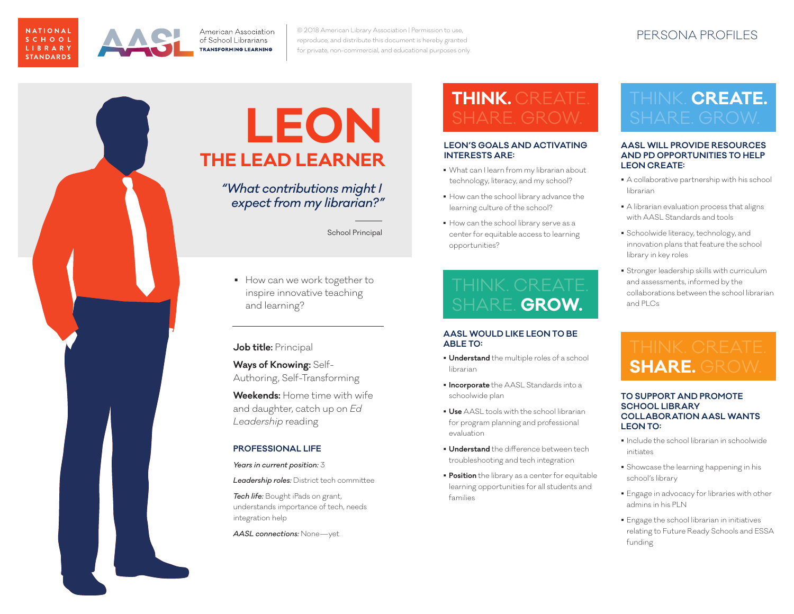

PERSONA PROFILES © 2018 American Library Association | Permission to use, reproduce, and distribute this document is hereby granted for private, non-commercial, and educational purposes only.

### **LEON THE LEAD LEARNER**

*"What contributions might I expect from my librarian?"*

School Principal

How can we work together to inspire innovative teaching and learning?

### **Job title:** Principal

**Ways of Knowing:** Self-Authoring, Self-Transforming

**Weekends:** Home time with wife and daughter, catch up on *Ed Leadership* reading

### **PROFESSIONAL LIFE**

#### *Years in current position:* 3

*Leadership roles:* District tech committee

*Tech life:* Bought iPads on grant, understands importance of tech, needs integration help

*AASL connections:* None—yet.

# **THINK.** CREATE.

#### **LEON'S GOALS AND ACTIVATING INTERESTS ARE:**

- What can I learn from my librarian about technology, literacy, and my school?
- $\blacksquare$  How can the school library advance the learning culture of the school?
- $\blacksquare$  How can the school library serve as a center for equitable access to learning opportunities?

THINK. CREATE. SHARE. **GROW.**

### **AASL WOULD LIKE LEON TO BE ABLE TO:**

- **Understand** the multiple roles of a school librarian
- **Incorporate** the AASL Standards into a schoolwide plan
- **Use** AASL tools with the school librarian for program planning and professional evaluation
- **Understand** the difference between tech troubleshooting and tech integration
- **Position** the library as a center for equitable learning opportunities for all students and families

# THINK. **CREATE.**

#### **AASL WILL PROVIDE RESOURCES AND PD OPPORTUNITIES TO HELP LEON CREATE:**

- A collaborative partnership with his school librarian
- A librarian evaluation process that aligns with AASL Standards and tools
- **Schoolwide literacy, technology, and** innovation plans that feature the school library in key roles
- Stronger leadership skills with curriculum and assessments, informed by the collaborations between the school librarian and PLCs

### **SHARE.** GROW.

#### **TO SUPPORT AND PROMOTE SCHOOL LIBRARY COLLABORATION AASL WANTS LEON TO:**

- Include the school librarian in schoolwide initiates
- Showcase the learning happening in his school's library
- Engage in advocacy for libraries with other admins in his PLN
- Engage the school librarian in initiatives relating to Future Ready Schools and ESSA funding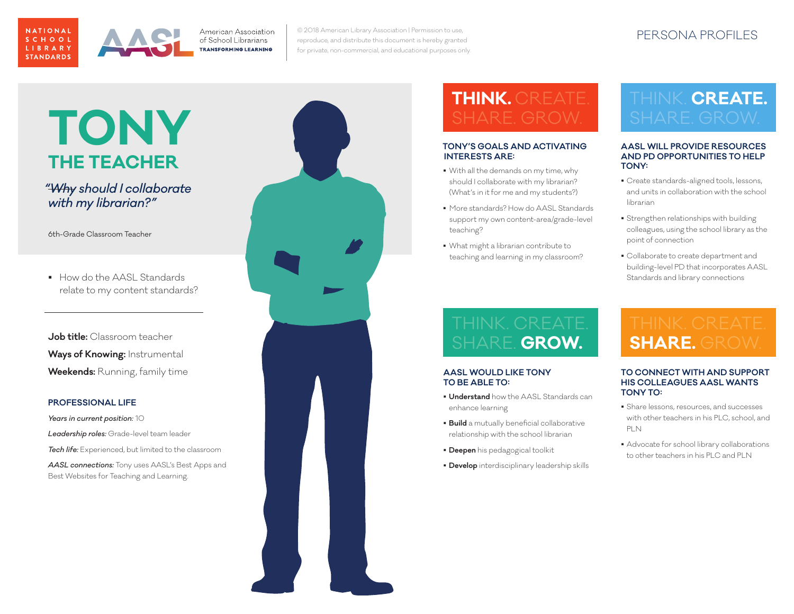

PERSONA PROFILES © 2018 American Library Association | Permission to use, reproduce, and distribute this document is hereby granted for private, non-commercial, and educational purposes only.

### **TONY THE TEACHER**

*"Why should I collaborate with my librarian?"*

6th-Grade Classroom Teacher

relate to my content standards?

**Job title:** Classroom teacher **Ways of Knowing:** Instrumental • How do the AASL Standards<br>
relate to my content standard<br> **Job title:** Classroom teacher<br> **Ways of Knowing:** Instrumental<br> **Weekends:** Running, family time

#### **PROFESSIONAL LIFE**

*Years in current position:* 10 *Leadership roles:* Grade-level team leader *Tech life:* Experienced, but limited to the classroom *AASL connections:* Tony uses AASL's Best Apps and Best Websites for Teaching and Learning.



### **THINK.** CREATE.

#### **TONY'S GOALS AND ACTIVATING INTERESTS ARE:**

- With all the demands on my time, why should I collaborate with my librarian? (What's in it for me and my students?)
- More standards? How do AASL Standards support my own content-area/grade-level teaching?
- What might a librarian contribute to teaching and learning in my classroom?

### THINK. **CREATE.**

#### **AASL WILL PROVIDE RESOURCES AND PD OPPORTUNITIES TO HELP TONY:**

- Create standards-aligned tools, lessons, and units in collaboration with the school librarian
- **Strengthen relationships with building** colleagues, using the school library as the point of connection
- Collaborate to create department and building-level PD that incorporates AASL Standards and library connections

### SHARE. **GROW.**

#### **AASL WOULD LIKE TONY TO BE ABLE TO:**

- **Understand** how the AASL Standards can enhance learning
- **Build** a mutually beneficial collaborative relationship with the school librarian
- **Deepen** his pedagogical toolkit
- **Develop** interdisciplinary leadership skills

### **SHARE.** GROW.

#### **TO CONNECT WITH AND SUPPORT HIS COLLEAGUES AASL WANTS TONY TO:**

- Share lessons, resources, and successes with other teachers in his PLC, school, and PLN
- Advocate for school library collaborations to other teachers in his PLC and PLN